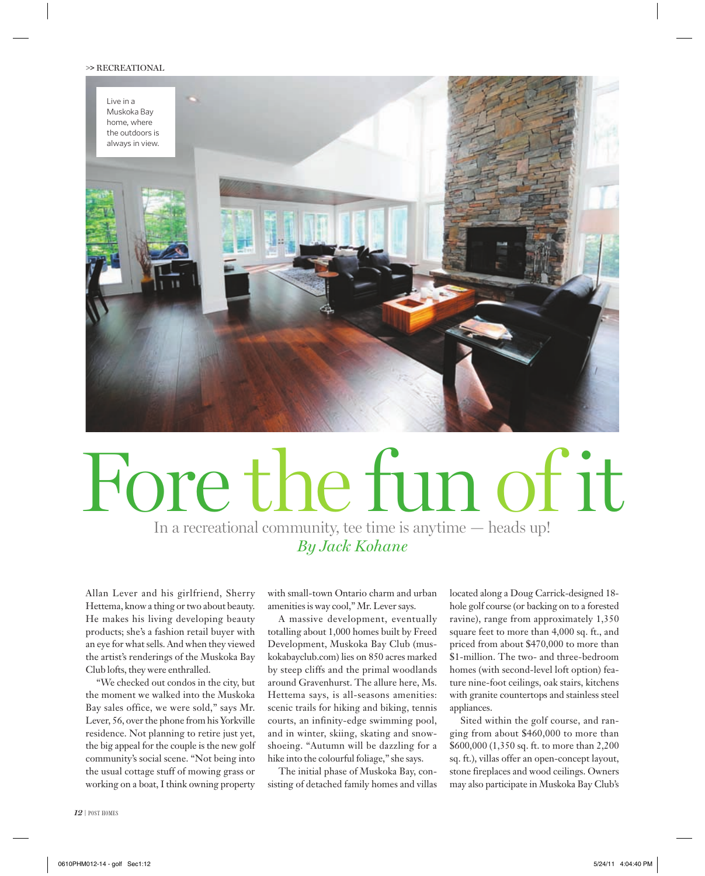## **>>** RECREATIONAL



## Fore the fun of it

In a recreational community, tee time is anytime — heads up! *By Jack Kohane*

Allan Lever and his girlfriend, Sherry Hettema, know a thing or two about beauty. He makes his living developing beauty products; she's a fashion retail buyer with an eye for what sells. And when they viewed the artist's renderings of the Muskoka Bay Club lofts, they were enthralled.

"We checked out condos in the city, but the moment we walked into the Muskoka Bay sales office, we were sold," says Mr. Lever, 56, over the phone from his Yorkville residence. Not planning to retire just yet, the big appeal for the couple is the new golf community's social scene. "Not being into the usual cottage stuff of mowing grass or working on a boat, I think owning property

with small-town Ontario charm and urban amenities is way cool," Mr. Lever says.

A massive development, eventually totalling about 1,000 homes built by Freed Development, Muskoka Bay Club (muskokabayclub.com) lies on 850 acres marked by steep cliffs and the primal woodlands around Gravenhurst. The allure here, Ms. Hettema says, is all-seasons amenities: scenic trails for hiking and biking, tennis courts, an infinity-edge swimming pool, and in winter, skiing, skating and snowshoeing. "Autumn will be dazzling for a hike into the colourful foliage," she says.

The initial phase of Muskoka Bay, consisting of detached family homes and villas located along a Doug Carrick-designed 18 hole golf course (or backing on to a forested ravine), range from approximately 1,350 square feet to more than 4,000 sq. ft., and priced from about \$470,000 to more than \$1-million. The two- and three-bedroom homes (with second-level loft option) feature nine-foot ceilings, oak stairs, kitchens with granite countertops and stainless steel appliances.

Sited within the golf course, and ranging from about \$460,000 to more than \$600,000 (1,350 sq. ft. to more than 2,200 sq. ft.), villas offer an open-concept layout, stone fireplaces and wood ceilings. Owners may also participate in Muskoka Bay Club's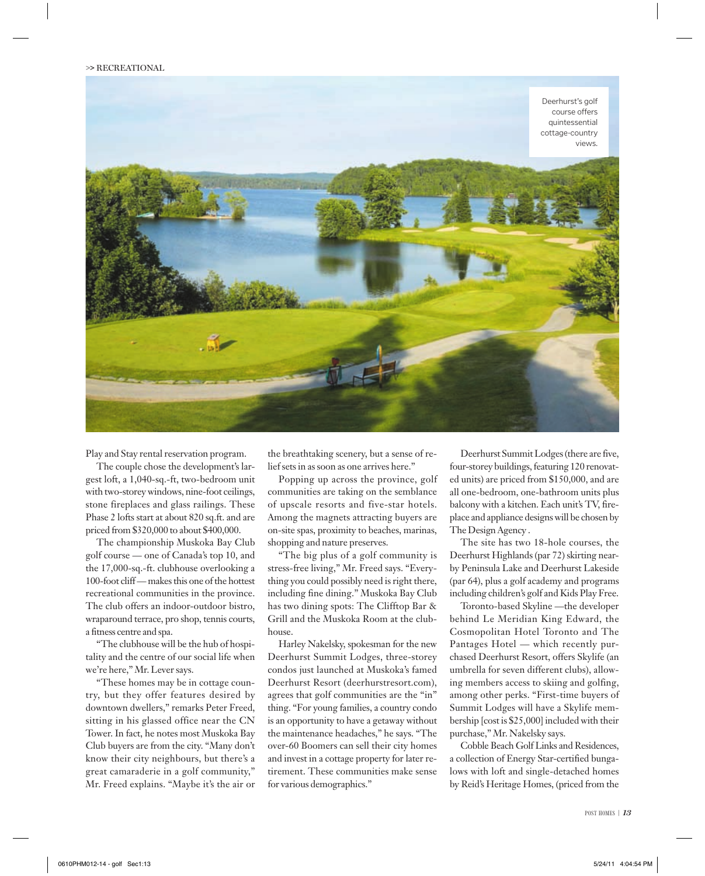

Play and Stay rental reservation program.

The couple chose the development's largest loft, a 1,040-sq.-ft, two-bedroom unit with two-storey windows, nine-foot ceilings, stone fireplaces and glass railings. These Phase 2 lofts start at about 820 sq.ft. and are priced from \$320,000 to about \$400,000.

The championship Muskoka Bay Club golf course — one of Canada's top 10, and the 17,000-sq.-ft. clubhouse overlooking a 100-foot cliff — makes this one of the hottest recreational communities in the province. The club offers an indoor-outdoor bistro, wraparound terrace, pro shop, tennis courts, a fitness centre and spa.

"The clubhouse will be the hub of hospitality and the centre of our social life when we're here," Mr. Lever says.

"These homes may be in cottage country, but they offer features desired by downtown dwellers," remarks Peter Freed, sitting in his glassed office near the CN Tower. In fact, he notes most Muskoka Bay Club buyers are from the city. "Many don't know their city neighbours, but there's a great camaraderie in a golf community," Mr. Freed explains. "Maybe it's the air or

the breathtaking scenery, but a sense of relief sets in as soon as one arrives here."

Popping up across the province, golf communities are taking on the semblance of upscale resorts and five-star hotels. Among the magnets attracting buyers are on-site spas, proximity to beaches, marinas, shopping and nature preserves.

"The big plus of a golf community is stress-free living," Mr. Freed says. "Everything you could possibly need is right there, including fine dining." Muskoka Bay Club has two dining spots: The Clifftop Bar & Grill and the Muskoka Room at the clubhouse.

Harley Nakelsky, spokesman for the new Deerhurst Summit Lodges, three-storey condos just launched at Muskoka's famed Deerhurst Resort (deerhurstresort.com), agrees that golf communities are the "in" thing. "For young families, a country condo is an opportunity to have a getaway without the maintenance headaches," he says. "The over-60 Boomers can sell their city homes and invest in a cottage property for later retirement. These communities make sense for various demographics."

Deerhurst Summit Lodges (there are five, four-storey buildings, featuring 120 renovated units) are priced from \$150,000, and are all one-bedroom, one-bathroom units plus balcony with a kitchen. Each unit's TV, fireplace and appliance designs will be chosen by The Design Agency .

The site has two 18-hole courses, the Deerhurst Highlands (par 72) skirting nearby Peninsula Lake and Deerhurst Lakeside (par 64), plus a golf academy and programs including children's golf and Kids Play Free.

Toronto-based Skyline —the developer behind Le Meridian King Edward, the Cosmopolitan Hotel Toronto and The Pantages Hotel — which recently purchased Deerhurst Resort, offers Skylife (an umbrella for seven different clubs), allowing members access to skiing and golfing, among other perks. "First-time buyers of Summit Lodges will have a Skylife membership [cost is \$25,000] included with their purchase," Mr. Nakelsky says.

Cobble Beach Golf Links and Residences, a collection of Energy Star-certified bungalows with loft and single-detached homes by Reid's Heritage Homes, (priced from the